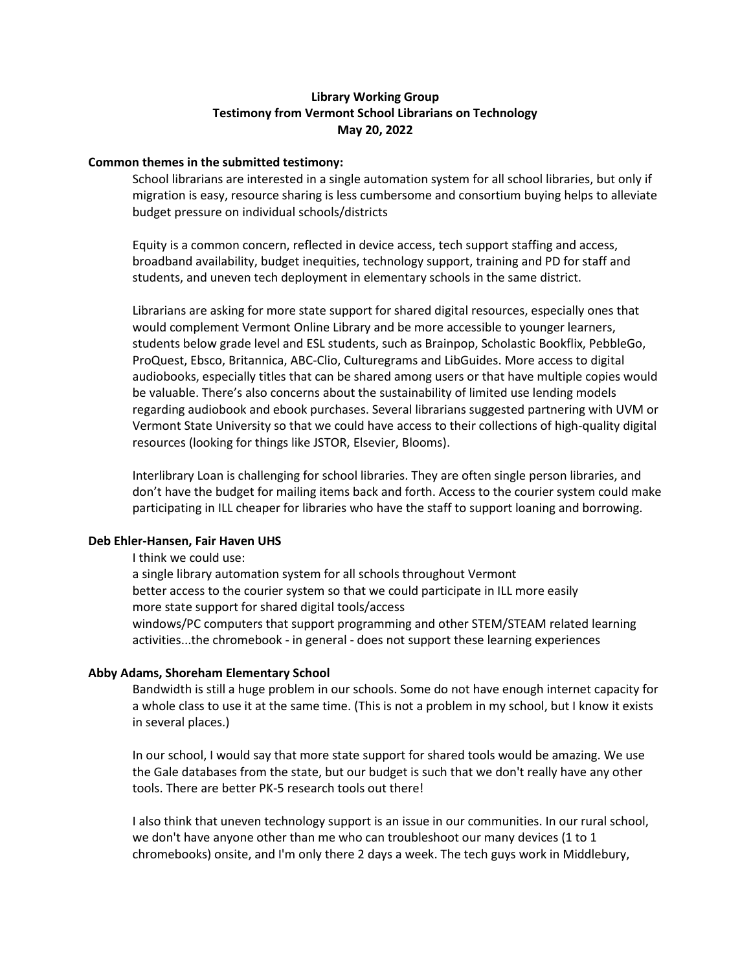# **Library Working Group Testimony from Vermont School Librarians on Technology May 20, 2022**

## **Common themes in the submitted testimony:**

School librarians are interested in a single automation system for all school libraries, but only if migration is easy, resource sharing is less cumbersome and consortium buying helps to alleviate budget pressure on individual schools/districts

Equity is a common concern, reflected in device access, tech support staffing and access, broadband availability, budget inequities, technology support, training and PD for staff and students, and uneven tech deployment in elementary schools in the same district.

Librarians are asking for more state support for shared digital resources, especially ones that would complement Vermont Online Library and be more accessible to younger learners, students below grade level and ESL students, such as Brainpop, Scholastic Bookflix, PebbleGo, ProQuest, Ebsco, Britannica, ABC-Clio, Culturegrams and LibGuides. More access to digital audiobooks, especially titles that can be shared among users or that have multiple copies would be valuable. There's also concerns about the sustainability of limited use lending models regarding audiobook and ebook purchases. Several librarians suggested partnering with UVM or Vermont State University so that we could have access to their collections of high-quality digital resources (looking for things like JSTOR, Elsevier, Blooms).

Interlibrary Loan is challenging for school libraries. They are often single person libraries, and don't have the budget for mailing items back and forth. Access to the courier system could make participating in ILL cheaper for libraries who have the staff to support loaning and borrowing.

## **Deb Ehler-Hansen, Fair Haven UHS**

I think we could use:

a single library automation system for all schools throughout Vermont better access to the courier system so that we could participate in ILL more easily more state support for shared digital tools/access windows/PC computers that support programming and other STEM/STEAM related learning activities...the chromebook - in general - does not support these learning experiences

### **Abby Adams, Shoreham Elementary School**

Bandwidth is still a huge problem in our schools. Some do not have enough internet capacity for a whole class to use it at the same time. (This is not a problem in my school, but I know it exists in several places.)

In our school, I would say that more state support for shared tools would be amazing. We use the Gale databases from the state, but our budget is such that we don't really have any other tools. There are better PK-5 research tools out there!

I also think that uneven technology support is an issue in our communities. In our rural school, we don't have anyone other than me who can troubleshoot our many devices (1 to 1 chromebooks) onsite, and I'm only there 2 days a week. The tech guys work in Middlebury,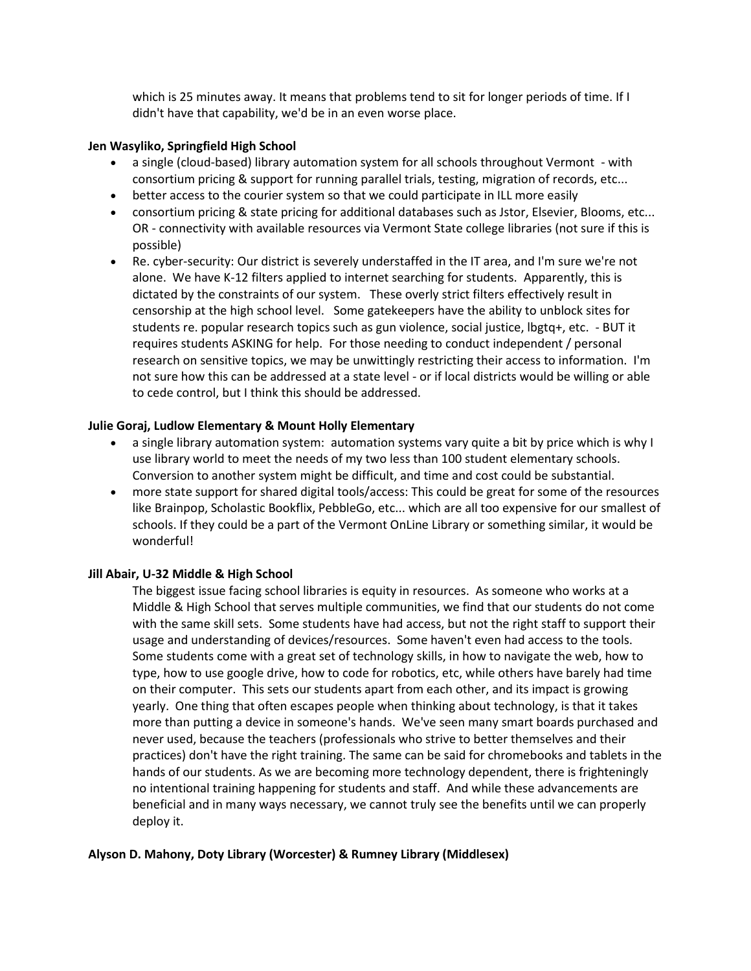which is 25 minutes away. It means that problems tend to sit for longer periods of time. If I didn't have that capability, we'd be in an even worse place.

## **Jen Wasyliko, Springfield High School**

- a single (cloud-based) library automation system for all schools throughout Vermont with consortium pricing & support for running parallel trials, testing, migration of records, etc...
- better access to the courier system so that we could participate in ILL more easily
- consortium pricing & state pricing for additional databases such as Jstor, Elsevier, Blooms, etc... OR - connectivity with available resources via Vermont State college libraries (not sure if this is possible)
- Re. cyber-security: Our district is severely understaffed in the IT area, and I'm sure we're not alone. We have K-12 filters applied to internet searching for students. Apparently, this is dictated by the constraints of our system. These overly strict filters effectively result in censorship at the high school level. Some gatekeepers have the ability to unblock sites for students re. popular research topics such as gun violence, social justice, lbgtq+, etc. - BUT it requires students ASKING for help. For those needing to conduct independent / personal research on sensitive topics, we may be unwittingly restricting their access to information. I'm not sure how this can be addressed at a state level - or if local districts would be willing or able to cede control, but I think this should be addressed.

# **Julie Goraj, Ludlow Elementary & Mount Holly Elementary**

- a single library automation system: automation systems vary quite a bit by price which is why I use library world to meet the needs of my two less than 100 student elementary schools. Conversion to another system might be difficult, and time and cost could be substantial.
- more state support for shared digital tools/access: This could be great for some of the resources like Brainpop, Scholastic Bookflix, PebbleGo, etc... which are all too expensive for our smallest of schools. If they could be a part of the Vermont OnLine Library or something similar, it would be wonderful!

# **Jill Abair, U-32 Middle & High School**

The biggest issue facing school libraries is equity in resources. As someone who works at a Middle & High School that serves multiple communities, we find that our students do not come with the same skill sets. Some students have had access, but not the right staff to support their usage and understanding of devices/resources. Some haven't even had access to the tools. Some students come with a great set of technology skills, in how to navigate the web, how to type, how to use google drive, how to code for robotics, etc, while others have barely had time on their computer. This sets our students apart from each other, and its impact is growing yearly. One thing that often escapes people when thinking about technology, is that it takes more than putting a device in someone's hands. We've seen many smart boards purchased and never used, because the teachers (professionals who strive to better themselves and their practices) don't have the right training. The same can be said for chromebooks and tablets in the hands of our students. As we are becoming more technology dependent, there is frighteningly no intentional training happening for students and staff. And while these advancements are beneficial and in many ways necessary, we cannot truly see the benefits until we can properly deploy it.

# **Alyson D. Mahony, Doty Library (Worcester) & Rumney Library (Middlesex)**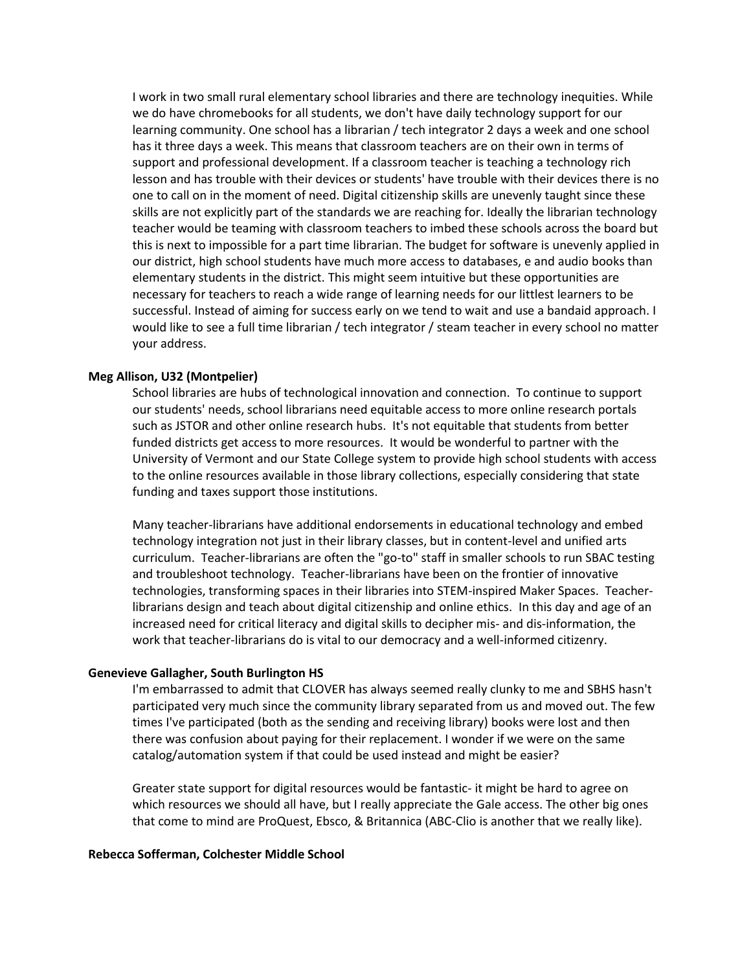I work in two small rural elementary school libraries and there are technology inequities. While we do have chromebooks for all students, we don't have daily technology support for our learning community. One school has a librarian / tech integrator 2 days a week and one school has it three days a week. This means that classroom teachers are on their own in terms of support and professional development. If a classroom teacher is teaching a technology rich lesson and has trouble with their devices or students' have trouble with their devices there is no one to call on in the moment of need. Digital citizenship skills are unevenly taught since these skills are not explicitly part of the standards we are reaching for. Ideally the librarian technology teacher would be teaming with classroom teachers to imbed these schools across the board but this is next to impossible for a part time librarian. The budget for software is unevenly applied in our district, high school students have much more access to databases, e and audio books than elementary students in the district. This might seem intuitive but these opportunities are necessary for teachers to reach a wide range of learning needs for our littlest learners to be successful. Instead of aiming for success early on we tend to wait and use a bandaid approach. I would like to see a full time librarian / tech integrator / steam teacher in every school no matter your address.

### **Meg Allison, U32 (Montpelier)**

School libraries are hubs of technological innovation and connection. To continue to support our students' needs, school librarians need equitable access to more online research portals such as JSTOR and other online research hubs. It's not equitable that students from better funded districts get access to more resources. It would be wonderful to partner with the University of Vermont and our State College system to provide high school students with access to the online resources available in those library collections, especially considering that state funding and taxes support those institutions.

Many teacher-librarians have additional endorsements in educational technology and embed technology integration not just in their library classes, but in content-level and unified arts curriculum. Teacher-librarians are often the "go-to" staff in smaller schools to run SBAC testing and troubleshoot technology. Teacher-librarians have been on the frontier of innovative technologies, transforming spaces in their libraries into STEM-inspired Maker Spaces. Teacherlibrarians design and teach about digital citizenship and online ethics. In this day and age of an increased need for critical literacy and digital skills to decipher mis- and dis-information, the work that teacher-librarians do is vital to our democracy and a well-informed citizenry.

#### **Genevieve Gallagher, South Burlington HS**

I'm embarrassed to admit that CLOVER has always seemed really clunky to me and SBHS hasn't participated very much since the community library separated from us and moved out. The few times I've participated (both as the sending and receiving library) books were lost and then there was confusion about paying for their replacement. I wonder if we were on the same catalog/automation system if that could be used instead and might be easier?

Greater state support for digital resources would be fantastic- it might be hard to agree on which resources we should all have, but I really appreciate the Gale access. The other big ones that come to mind are ProQuest, Ebsco, & Britannica (ABC-Clio is another that we really like).

#### **Rebecca Sofferman, Colchester Middle School**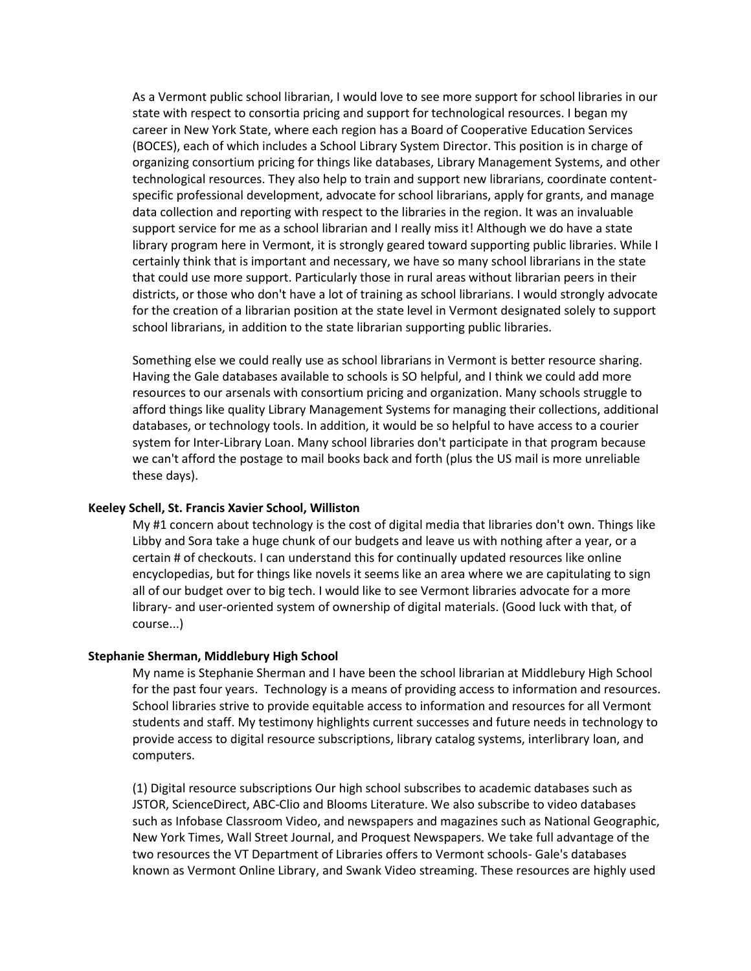As a Vermont public school librarian, I would love to see more support for school libraries in our state with respect to consortia pricing and support for technological resources. I began my career in New York State, where each region has a Board of Cooperative Education Services (BOCES), each of which includes a School Library System Director. This position is in charge of organizing consortium pricing for things like databases, Library Management Systems, and other technological resources. They also help to train and support new librarians, coordinate contentspecific professional development, advocate for school librarians, apply for grants, and manage data collection and reporting with respect to the libraries in the region. It was an invaluable support service for me as a school librarian and I really miss it! Although we do have a state library program here in Vermont, it is strongly geared toward supporting public libraries. While I certainly think that is important and necessary, we have so many school librarians in the state that could use more support. Particularly those in rural areas without librarian peers in their districts, or those who don't have a lot of training as school librarians. I would strongly advocate for the creation of a librarian position at the state level in Vermont designated solely to support school librarians, in addition to the state librarian supporting public libraries.

Something else we could really use as school librarians in Vermont is better resource sharing. Having the Gale databases available to schools is SO helpful, and I think we could add more resources to our arsenals with consortium pricing and organization. Many schools struggle to afford things like quality Library Management Systems for managing their collections, additional databases, or technology tools. In addition, it would be so helpful to have access to a courier system for Inter-Library Loan. Many school libraries don't participate in that program because we can't afford the postage to mail books back and forth (plus the US mail is more unreliable these days).

#### **Keeley Schell, St. Francis Xavier School, Williston**

My #1 concern about technology is the cost of digital media that libraries don't own. Things like Libby and Sora take a huge chunk of our budgets and leave us with nothing after a year, or a certain # of checkouts. I can understand this for continually updated resources like online encyclopedias, but for things like novels it seems like an area where we are capitulating to sign all of our budget over to big tech. I would like to see Vermont libraries advocate for a more library- and user-oriented system of ownership of digital materials. (Good luck with that, of course...)

#### **Stephanie Sherman, Middlebury High School**

My name is Stephanie Sherman and I have been the school librarian at Middlebury High School for the past four years. Technology is a means of providing access to information and resources. School libraries strive to provide equitable access to information and resources for all Vermont students and staff. My testimony highlights current successes and future needs in technology to provide access to digital resource subscriptions, library catalog systems, interlibrary loan, and computers.

(1) Digital resource subscriptions Our high school subscribes to academic databases such as JSTOR, ScienceDirect, ABC-Clio and Blooms Literature. We also subscribe to video databases such as Infobase Classroom Video, and newspapers and magazines such as National Geographic, New York Times, Wall Street Journal, and Proquest Newspapers. We take full advantage of the two resources the VT Department of Libraries offers to Vermont schools- Gale's databases known as Vermont Online Library, and Swank Video streaming. These resources are highly used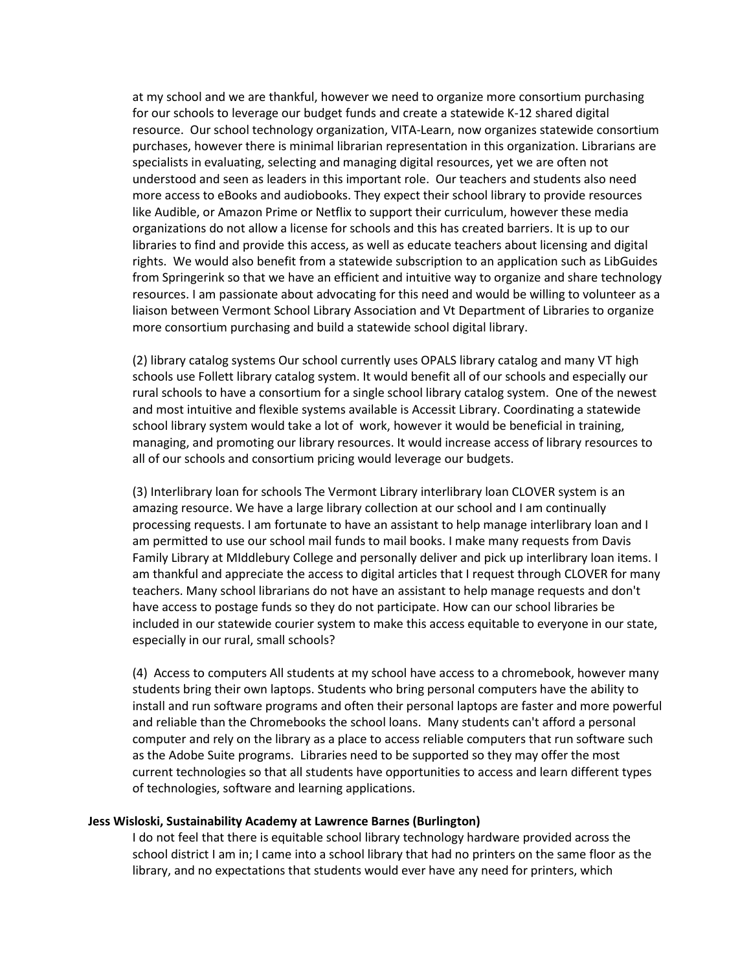at my school and we are thankful, however we need to organize more consortium purchasing for our schools to leverage our budget funds and create a statewide K-12 shared digital resource. Our school technology organization, VITA-Learn, now organizes statewide consortium purchases, however there is minimal librarian representation in this organization. Librarians are specialists in evaluating, selecting and managing digital resources, yet we are often not understood and seen as leaders in this important role. Our teachers and students also need more access to eBooks and audiobooks. They expect their school library to provide resources like Audible, or Amazon Prime or Netflix to support their curriculum, however these media organizations do not allow a license for schools and this has created barriers. It is up to our libraries to find and provide this access, as well as educate teachers about licensing and digital rights. We would also benefit from a statewide subscription to an application such as LibGuides from Springerink so that we have an efficient and intuitive way to organize and share technology resources. I am passionate about advocating for this need and would be willing to volunteer as a liaison between Vermont School Library Association and Vt Department of Libraries to organize more consortium purchasing and build a statewide school digital library.

(2) library catalog systems Our school currently uses OPALS library catalog and many VT high schools use Follett library catalog system. It would benefit all of our schools and especially our rural schools to have a consortium for a single school library catalog system. One of the newest and most intuitive and flexible systems available is Accessit Library. Coordinating a statewide school library system would take a lot of work, however it would be beneficial in training, managing, and promoting our library resources. It would increase access of library resources to all of our schools and consortium pricing would leverage our budgets.

(3) Interlibrary loan for schools The Vermont Library interlibrary loan CLOVER system is an amazing resource. We have a large library collection at our school and I am continually processing requests. I am fortunate to have an assistant to help manage interlibrary loan and I am permitted to use our school mail funds to mail books. I make many requests from Davis Family Library at MIddlebury College and personally deliver and pick up interlibrary loan items. I am thankful and appreciate the access to digital articles that I request through CLOVER for many teachers. Many school librarians do not have an assistant to help manage requests and don't have access to postage funds so they do not participate. How can our school libraries be included in our statewide courier system to make this access equitable to everyone in our state, especially in our rural, small schools?

(4) Access to computers All students at my school have access to a chromebook, however many students bring their own laptops. Students who bring personal computers have the ability to install and run software programs and often their personal laptops are faster and more powerful and reliable than the Chromebooks the school loans. Many students can't afford a personal computer and rely on the library as a place to access reliable computers that run software such as the Adobe Suite programs. Libraries need to be supported so they may offer the most current technologies so that all students have opportunities to access and learn different types of technologies, software and learning applications.

## **Jess Wisloski, Sustainability Academy at Lawrence Barnes (Burlington)**

I do not feel that there is equitable school library technology hardware provided across the school district I am in; I came into a school library that had no printers on the same floor as the library, and no expectations that students would ever have any need for printers, which